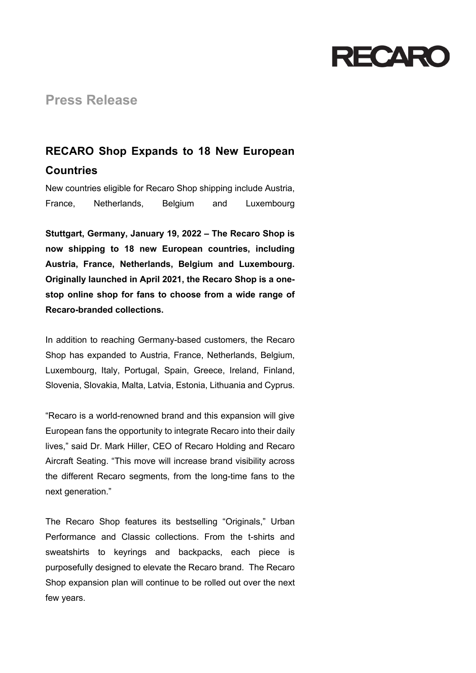

## **Press Release**

## **RECARO Shop Expands to 18 New European Countries**

New countries eligible for Recaro Shop shipping include Austria, France, Netherlands, Belgium and Luxembourg

**Stuttgart, Germany, January 19, 2022 – The Recaro Shop is now shipping to 18 new European countries, including Austria, France, Netherlands, Belgium and Luxembourg. Originally launched in April 2021, the Recaro Shop is a onestop online shop for fans to choose from a wide range of Recaro-branded collections.**

In addition to reaching Germany-based customers, the Recaro Shop has expanded to Austria, France, Netherlands, Belgium, Luxembourg, Italy, Portugal, Spain, Greece, Ireland, Finland, Slovenia, Slovakia, Malta, Latvia, Estonia, Lithuania and Cyprus.

"Recaro is a world-renowned brand and this expansion will give European fans the opportunity to integrate Recaro into their daily lives," said Dr. Mark Hiller, CEO of Recaro Holding and Recaro Aircraft Seating. "This move will increase brand visibility across the different Recaro segments, from the long-time fans to the next generation."

The Recaro Shop features its bestselling "Originals," Urban Performance and Classic collections. From the t-shirts and sweatshirts to keyrings and backpacks, each piece is purposefully designed to elevate the Recaro brand. The Recaro Shop expansion plan will continue to be rolled out over the next few years.